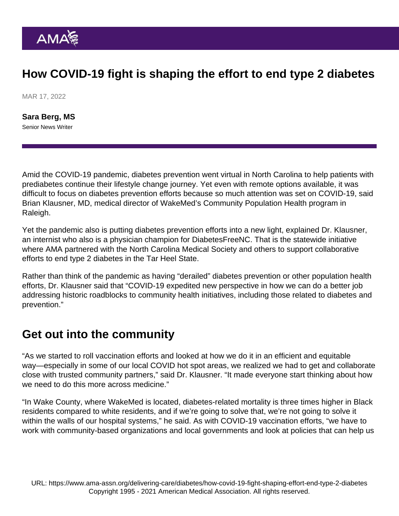## How COVID-19 fight is shaping the effort to end type 2 diabetes

MAR 17, 2022

[Sara Berg, MS](https://www.ama-assn.org/news-leadership-viewpoints/authors-news-leadership-viewpoints/sara-berg-ms) Senior News Writer

Amid the COVID-19 pandemic, [diabetes prevention went virtual in North Carolina](https://www.ama-assn.org/delivering-care/diabetes/amid-pandemic-diabetes-prevention-goes-virtual-north-carolina) to help patients with prediabetes continue their lifestyle change journey. Yet even with remote options available, it was difficult to focus on diabetes prevention efforts because so much attention was set on COVID-19, said Brian Klausner, MD, medical director of WakeMed's Community Population Health program in Raleigh.

Yet the pandemic also is putting diabetes prevention efforts into a new light, explained Dr. Klausner, an internist who also is a physician champion for [DiabetesFreeNC](http://ourcommunityhealthinitiative.org/diabetesfreenc/). That is the statewide initiative where AMA partnered with the North Carolina Medical Society and others to support collaborative efforts to end type 2 diabetes in the Tar Heel State.

Rather than think of the pandemic as having "derailed" diabetes prevention or other population health efforts, Dr. Klausner said that "COVID-19 expedited new perspective in how we can do a better job addressing historic roadblocks to community health initiatives, including those related to diabetes and prevention."

## Get out into the community

"As we started to roll vaccination efforts and looked at how we do it in an efficient and equitable way—especially in some of our local COVID hot spot areas, we realized we had to get and collaborate close with trusted community partners," said Dr. Klausner. "It made everyone start thinking about how we need to do this more across medicine."

"In Wake County, where WakeMed is located, diabetes-related mortality is three times higher in Black residents compared to white residents, and if we're going to solve that, we're not going to solve it within the walls of our hospital systems," he said. As with COVID-19 vaccination efforts, "we have to work with community-based organizations and local governments and look at policies that can help us